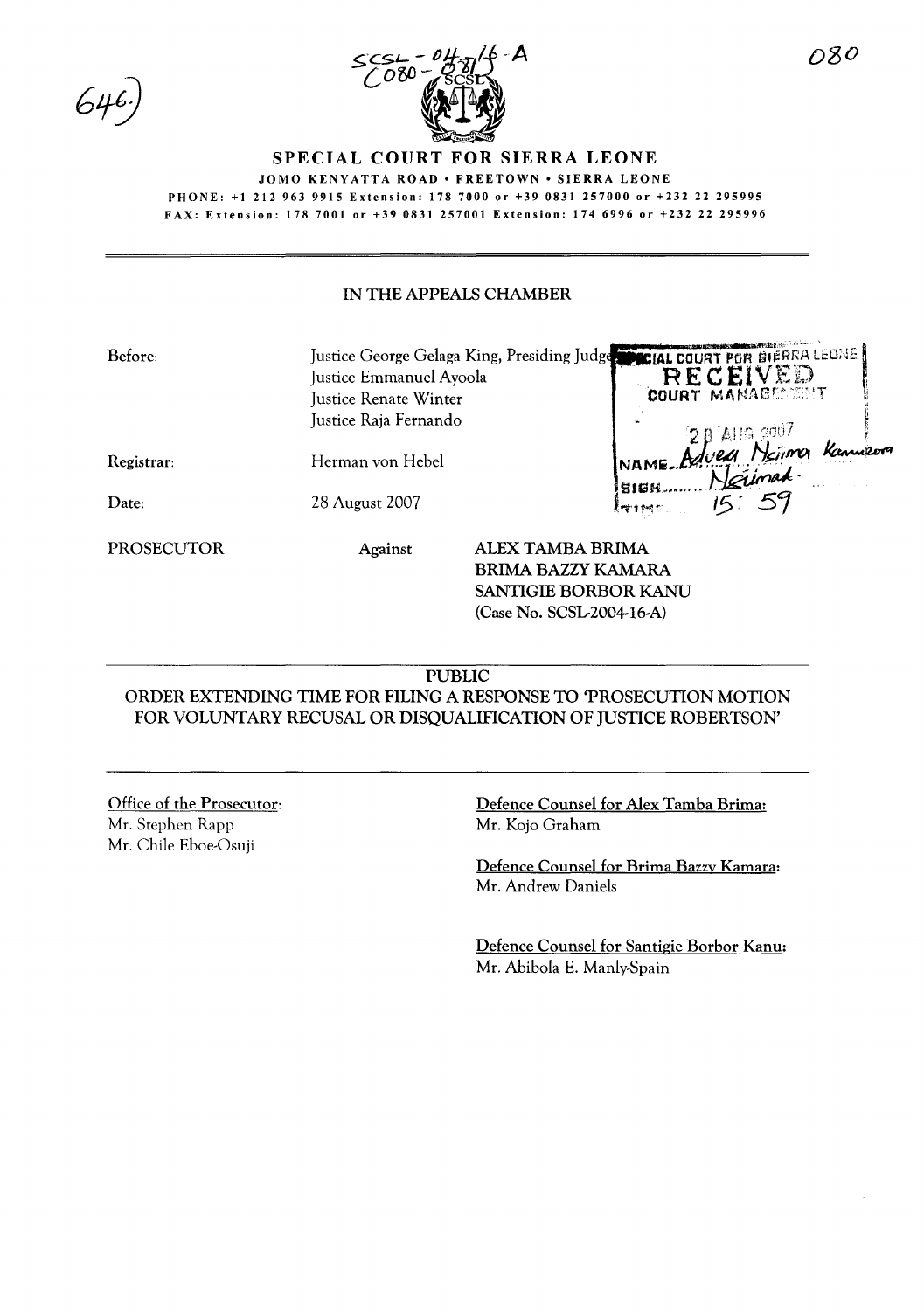

**SPECIAL COURT FOR SIERRA LEONE**

JOMO KENYATTA ROAD · FREETOWN · SIERRA LEONE

PHONE: +1212963 9915 Extension: 1787000 or +39 0831257000 or +23222 295995

FAX: Extension: 1787001 or +39 0831257001 Extension: 1746996 or +232 22 295996

## IN THE APPEALS CHAMBER

| Before:    | Justice Emmanuel Ayoola<br>Justice Renate Winter<br>Justice Raja Fernando | Justice George Gelaga King, Presiding Judge CLAL COURT FOR BIERRA LEONE<br>RECEIVED |
|------------|---------------------------------------------------------------------------|-------------------------------------------------------------------------------------|
| Registrar: | Herman von Hebel                                                          |                                                                                     |
| Date:      | 28 August 2007                                                            | RAIG 2007<br>RAME Advea Neimer Kanne<br>RIES 59                                     |
| PROSECUTOR | <b>Against</b>                                                            | ALEX TAMBA BRIMA                                                                    |

BRIMA BAZZY KAMARA SANTIGIE BORBOR KANU (Case No. SCSL2004-16-A)

## PUBLIC

ORDER EXTENDING TIME FOR FILING A RESPONSE TO 'PROSECUTION MOTION FOR VOLUNTARY RECUSAL OR DISQUALIFICATION OF JUSTICE ROBERTSON'

## Office of the Prosecutor:

Mr. Stephen Rapp Mr. Chile Eboe-Osuji Defence Counsel for Alex Tamba Brima: Mr. Kojo Graham

Defence Counsel for Brima Bazzy Kamara: Mr. Andrew Daniels

Defence Counsel for Santigie Borbor Kanu: Mr. Abibola E. Manly-Spain

.<br>- المنافذة في المنافذة المنافذة